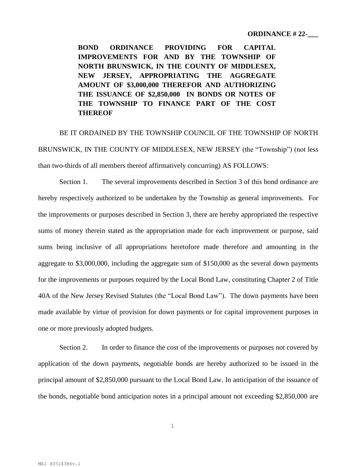**BOND ORDINANCE PROVIDING FOR CAPITAL IMPROVEMENTS FOR AND BY THE TOWNSHIP OF NORTH BRUNSWICK, IN THE COUNTY OF MIDDLESEX, NEW JERSEY, APPROPRIATING THE AGGREGATE AMOUNT OF \$3,000,000 THEREFOR AND AUTHORIZING THE ISSUANCE OF \$2,850,000 IN BONDS OR NOTES OF THE TOWNSHIP TO FINANCE PART OF THE COST THEREOF**

BE IT ORDAINED BY THE TOWNSHIP COUNCIL OF THE TOWNSHIP OF NORTH BRUNSWICK, IN THE COUNTY OF MIDDLESEX, NEW JERSEY (the "Township") (not less than two-thirds of all members thereof affirmatively concurring) AS FOLLOWS:

Section 1. The several improvements described in Section 3 of this bond ordinance are hereby respectively authorized to be undertaken by the Township as general improvements. For the improvements or purposes described in Section 3, there are hereby appropriated the respective sums of money therein stated as the appropriation made for each improvement or purpose, said sums being inclusive of all appropriations heretofore made therefore and amounting in the aggregate to \$3,000,000, including the aggregate sum of \$150,000 as the several down payments for the improvements or purposes required by the Local Bond Law, constituting Chapter 2 of Title 40A of the New Jersey Revised Statutes (the "Local Bond Law"). The down payments have been made available by virtue of provision for down payments or for capital improvement purposes in one or more previously adopted budgets.

Section 2. In order to finance the cost of the improvements or purposes not covered by application of the down payments, negotiable bonds are hereby authorized to be issued in the principal amount of \$2,850,000 pursuant to the Local Bond Law. In anticipation of the issuance of the bonds, negotiable bond anticipation notes in a principal amount not exceeding \$2,850,000 are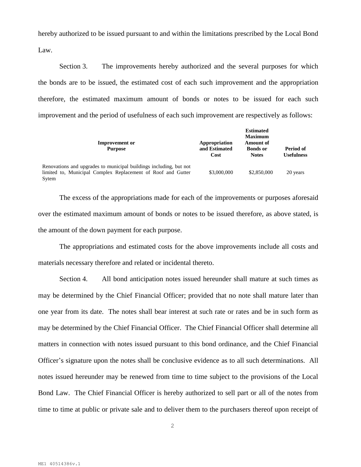hereby authorized to be issued pursuant to and within the limitations prescribed by the Local Bond Law.

Section 3. The improvements hereby authorized and the several purposes for which the bonds are to be issued, the estimated cost of each such improvement and the appropriation therefore, the estimated maximum amount of bonds or notes to be issued for each such improvement and the period of usefulness of each such improvement are respectively as follows:

| <b>Improvement</b> or<br><b>Purpose</b>                                                                                                     | Appropriation<br>and Estimated<br>Cost | <b>Estimated</b><br><b>Maximum</b><br><b>Amount of</b><br><b>Bonds</b> or<br><b>Notes</b> | Period of<br><b>Usefulness</b> |
|---------------------------------------------------------------------------------------------------------------------------------------------|----------------------------------------|-------------------------------------------------------------------------------------------|--------------------------------|
| Renovations and upgrades to municipal buildings including, but not<br>limited to, Municipal Complex Replacement of Roof and Gutter<br>Sytem | \$3,000,000                            | \$2,850,000                                                                               | 20 years                       |

The excess of the appropriations made for each of the improvements or purposes aforesaid over the estimated maximum amount of bonds or notes to be issued therefore, as above stated, is the amount of the down payment for each purpose.

The appropriations and estimated costs for the above improvements include all costs and materials necessary therefore and related or incidental thereto.

Section 4. All bond anticipation notes issued hereunder shall mature at such times as may be determined by the Chief Financial Officer; provided that no note shall mature later than one year from its date. The notes shall bear interest at such rate or rates and be in such form as may be determined by the Chief Financial Officer. The Chief Financial Officer shall determine all matters in connection with notes issued pursuant to this bond ordinance, and the Chief Financial Officer's signature upon the notes shall be conclusive evidence as to all such determinations. All notes issued hereunder may be renewed from time to time subject to the provisions of the Local Bond Law. The Chief Financial Officer is hereby authorized to sell part or all of the notes from time to time at public or private sale and to deliver them to the purchasers thereof upon receipt of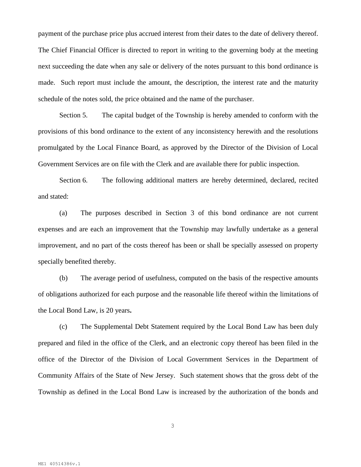payment of the purchase price plus accrued interest from their dates to the date of delivery thereof. The Chief Financial Officer is directed to report in writing to the governing body at the meeting next succeeding the date when any sale or delivery of the notes pursuant to this bond ordinance is made. Such report must include the amount, the description, the interest rate and the maturity schedule of the notes sold, the price obtained and the name of the purchaser.

Section 5. The capital budget of the Township is hereby amended to conform with the provisions of this bond ordinance to the extent of any inconsistency herewith and the resolutions promulgated by the Local Finance Board, as approved by the Director of the Division of Local Government Services are on file with the Clerk and are available there for public inspection.

Section 6. The following additional matters are hereby determined, declared, recited and stated:

(a) The purposes described in Section 3 of this bond ordinance are not current expenses and are each an improvement that the Township may lawfully undertake as a general improvement, and no part of the costs thereof has been or shall be specially assessed on property specially benefited thereby.

(b) The average period of usefulness, computed on the basis of the respective amounts of obligations authorized for each purpose and the reasonable life thereof within the limitations of the Local Bond Law, is 20 years**.**

(c) The Supplemental Debt Statement required by the Local Bond Law has been duly prepared and filed in the office of the Clerk, and an electronic copy thereof has been filed in the office of the Director of the Division of Local Government Services in the Department of Community Affairs of the State of New Jersey. Such statement shows that the gross debt of the Township as defined in the Local Bond Law is increased by the authorization of the bonds and

3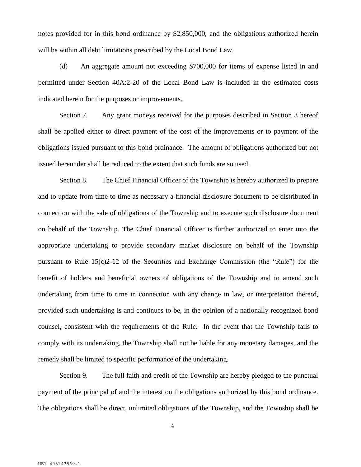notes provided for in this bond ordinance by \$2,850,000, and the obligations authorized herein will be within all debt limitations prescribed by the Local Bond Law.

(d) An aggregate amount not exceeding \$700,000 for items of expense listed in and permitted under Section 40A:2-20 of the Local Bond Law is included in the estimated costs indicated herein for the purposes or improvements.

Section 7. Any grant moneys received for the purposes described in Section 3 hereof shall be applied either to direct payment of the cost of the improvements or to payment of the obligations issued pursuant to this bond ordinance. The amount of obligations authorized but not issued hereunder shall be reduced to the extent that such funds are so used.

Section 8. The Chief Financial Officer of the Township is hereby authorized to prepare and to update from time to time as necessary a financial disclosure document to be distributed in connection with the sale of obligations of the Township and to execute such disclosure document on behalf of the Township. The Chief Financial Officer is further authorized to enter into the appropriate undertaking to provide secondary market disclosure on behalf of the Township pursuant to Rule 15(c)2-12 of the Securities and Exchange Commission (the "Rule") for the benefit of holders and beneficial owners of obligations of the Township and to amend such undertaking from time to time in connection with any change in law, or interpretation thereof, provided such undertaking is and continues to be, in the opinion of a nationally recognized bond counsel, consistent with the requirements of the Rule. In the event that the Township fails to comply with its undertaking, the Township shall not be liable for any monetary damages, and the remedy shall be limited to specific performance of the undertaking.

Section 9. The full faith and credit of the Township are hereby pledged to the punctual payment of the principal of and the interest on the obligations authorized by this bond ordinance. The obligations shall be direct, unlimited obligations of the Township, and the Township shall be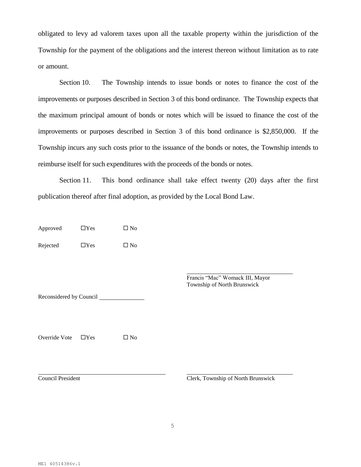obligated to levy ad valorem taxes upon all the taxable property within the jurisdiction of the Township for the payment of the obligations and the interest thereon without limitation as to rate or amount.

Section 10. The Township intends to issue bonds or notes to finance the cost of the improvements or purposes described in Section 3 of this bond ordinance. The Township expects that the maximum principal amount of bonds or notes which will be issued to finance the cost of the improvements or purposes described in Section 3 of this bond ordinance is \$2,850,000. If the Township incurs any such costs prior to the issuance of the bonds or notes, the Township intends to reimburse itself for such expenditures with the proceeds of the bonds or notes.

Section 11. This bond ordinance shall take effect twenty (20) days after the first publication thereof after final adoption, as provided by the Local Bond Law.

Approved  $\Box$  Yes  $\Box$  No

Rejected  $\Box$  Yes  $\Box$  No

Francis "Mac" Womack III, Mayor Township of North Brunswick

Reconsidered by Council

Override Vote  $\Box$  Yes  $\Box$  No

Council President Clerk, Township of North Brunswick